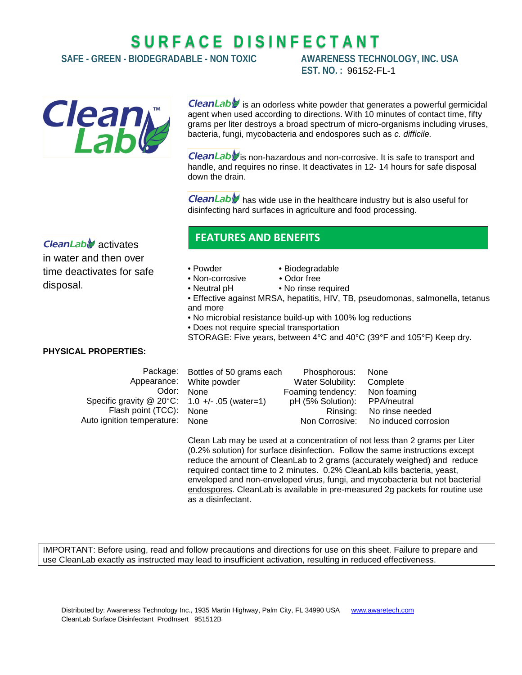# **S U R F A C E D I S I N F E C T A N T**

**SAFE - GREEN - BIODEGRADABLE - NON TOXIC AWARENESS TECHNOLOGY, INC. USA**

**EST. NO. :** 96152-FL-1



CleanLable is an odorless white powder that generates a powerful germicidal agent when used according to directions. With 10 minutes of contact time, fifty grams per liter destroys a broad spectrum of micro-organisms including viruses, bacteria, fungi, mycobacteria and endospores such as *c. difficile.*

CleanLab is non-hazardous and non-corrosive. It is safe to transport and handle, and requires no rinse. It deactivates in 12- 14 hours for safe disposal down the drain.

**CleanLabl** has wide use in the healthcare industry but is also useful for disinfecting hard surfaces in agriculture and food processing.

 $\mathsf{C}$ leanLab $\mathscr{C}$  activates in water and then over time deactivates for safe disposal.

## **FEATURES AND BENEFITS**

- Non-corrosive
- Powder Biodegradable<br>• Non-corrosive Odor free
	-
- Neutral pH No rinse required
- Effective against MRSA, hepatitis, HIV, TB, pseudomonas, salmonella, tetanus and more
- No microbial resistance build-up with 100% log reductions
- Does not require special transportation
- STORAGE: Five years, between 4°C and 40°C (39°F and 105°F) Keep dry.

#### **PHYSICAL PROPERTIES:**

|                                                  | Package: Bottles of 50 grams each | Phosphorous:                  | None                                |
|--------------------------------------------------|-----------------------------------|-------------------------------|-------------------------------------|
|                                                  | Appearance: White powder          | Water Solubility:             | Complete                            |
| Odor:                                            | <b>None</b>                       | Foaming tendency: Non foaming |                                     |
| Specific gravity $@$ 20°C: 1.0 +/- .05 (water=1) |                                   | pH (5% Solution): PPA/neutral |                                     |
| Flash point (TCC): None                          |                                   | Rinsing:                      | No rinse needed                     |
| Auto ignition temperature: None                  |                                   |                               | Non Corrosive: No induced corrosion |
|                                                  |                                   |                               |                                     |

Clean Lab may be used at a concentration of not less than 2 grams per Liter (0.2% solution) for surface disinfection. Follow the same instructions except reduce the amount of CleanLab to 2 grams (accurately weighed) and reduce required contact time to 2 minutes. 0.2% CleanLab kills bacteria, yeast, enveloped and non-enveloped virus, fungi, and mycobacteria but not bacterial endospores. CleanLab is available in pre-measured 2g packets for routine use as a disinfectant.

IMPORTANT: Before using, read and follow precautions and directions for use on this sheet. Failure to prepare and use CleanLab exactly as instructed may lead to insufficient activation, resulting in reduced effectiveness.